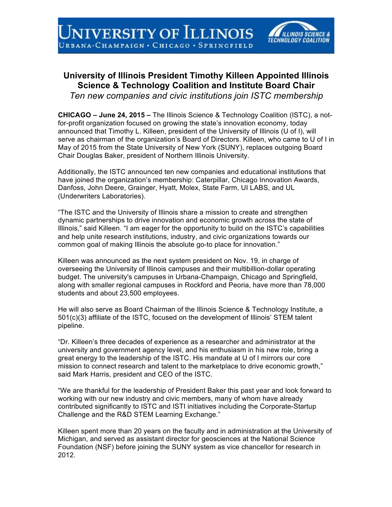

## **University of Illinois President Timothy Killeen Appointed Illinois Science & Technology Coalition and Institute Board Chair**

*Ten new companies and civic institutions join ISTC membership*

**CHICAGO – June 24, 2015 –** The Illinois Science & Technology Coalition (ISTC), a notfor-profit organization focused on growing the state's innovation economy, today announced that Timothy L. Killeen, president of the University of Illinois (U of I), will serve as chairman of the organization's Board of Directors. Killeen, who came to U of I in May of 2015 from the State University of New York (SUNY), replaces outgoing Board Chair Douglas Baker, president of Northern Illinois University.

Additionally, the ISTC announced ten new companies and educational institutions that have joined the organization's membership: Caterpillar, Chicago Innovation Awards, Danfoss, John Deere, Grainger, Hyatt, Molex, State Farm, UI LABS, and UL (Underwriters Laboratories).

"The ISTC and the University of Illinois share a mission to create and strengthen dynamic partnerships to drive innovation and economic growth across the state of Illinois," said Killeen. "I am eager for the opportunity to build on the ISTC's capabilities and help unite research institutions, industry, and civic organizations towards our common goal of making Illinois the absolute go-to place for innovation."

Killeen was announced as the next system president on Nov. 19, in charge of overseeing the University of Illinois campuses and their multibillion-dollar operating budget. The university's campuses in Urbana-Champaign, Chicago and Springfield, along with smaller regional campuses in Rockford and Peoria, have more than 78,000 students and about 23,500 employees.

He will also serve as Board Chairman of the Illinois Science & Technology Institute, a 501(c)(3) affiliate of the ISTC, focused on the development of Illinois' STEM talent pipeline.

"Dr. Killeen's three decades of experience as a researcher and administrator at the university and government agency level, and his enthusiasm in his new role, bring a great energy to the leadership of the ISTC. His mandate at U of I mirrors our core mission to connect research and talent to the marketplace to drive economic growth," said Mark Harris, president and CEO of the ISTC.

"We are thankful for the leadership of President Baker this past year and look forward to working with our new industry and civic members, many of whom have already contributed significantly to ISTC and ISTI initiatives including the Corporate-Startup Challenge and the R&D STEM Learning Exchange."

Killeen spent more than 20 years on the faculty and in administration at the University of Michigan, and served as assistant director for geosciences at the National Science Foundation (NSF) before joining the SUNY system as vice chancellor for research in 2012.